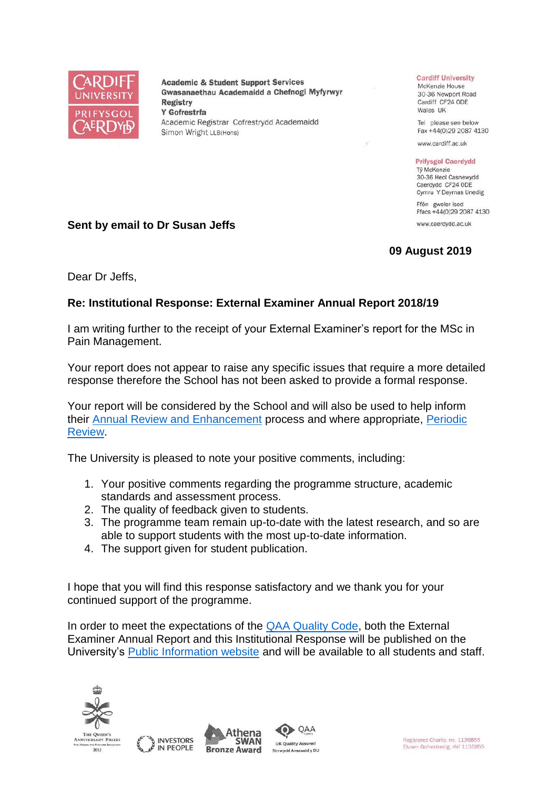

**Academic & Student Support Services** Gwasanaethau Academaidd a Chefnogi Myfyrwyr **Registry** Y Gofrestrfa Academic Registrar Cofrestrydd Academaidd Simon Wright LLB(Hons)

## **Cardiff University**

McKenzie House 30-36 Newport Road Cardiff CF24 ODE Wales UK

Tel please see below Fax +44(0)29 2087 4130

www.cardiff.ac.uk

## **Prifysgol Caerdydd** Tỷ McKenzie

30-36 Heol Casnewydd Caerdydd CF24 ODE Cymru Y Deyrnas Unedig

Ffôn gweler isod Ffacs +44(0)29 2087 4130 www.caerdydd.ac.uk

**09 August 2019**

**Sent by email to Dr Susan Jeffs**

Dear Dr Jeffs,

## **Re: Institutional Response: External Examiner Annual Report 2018/19**

I am writing further to the receipt of your External Examiner's report for the MSc in Pain Management.

Your report does not appear to raise any specific issues that require a more detailed response therefore the School has not been asked to provide a formal response.

Your report will be considered by the School and will also be used to help inform their [Annual Review and Enhancement](https://www.cardiff.ac.uk/public-information/quality-and-standards/monitoring-and-review/annual-review-and-enhancement) process and where appropriate, [Periodic](http://www.cardiff.ac.uk/public-information/quality-and-standards/monitoring-and-review/periodic-review)  [Review.](http://www.cardiff.ac.uk/public-information/quality-and-standards/monitoring-and-review/periodic-review)

The University is pleased to note your positive comments, including:

- 1. Your positive comments regarding the programme structure, academic standards and assessment process.
- 2. The quality of feedback given to students.
- 3. The programme team remain up-to-date with the latest research, and so are able to support students with the most up-to-date information.
- 4. The support given for student publication.

I hope that you will find this response satisfactory and we thank you for your continued support of the programme.

In order to meet the expectations of the **QAA Quality Code**, both the External Examiner Annual Report and this Institutional Response will be published on the University's [Public Information website](http://www.cardiff.ac.uk/public-information/quality-and-standards/external-examiner-reports) and will be available to all students and staff.







QAA